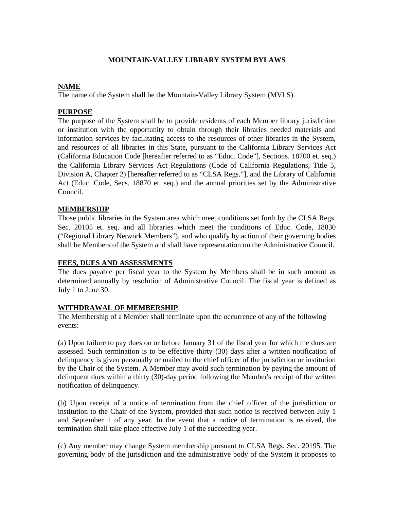# **MOUNTAIN-VALLEY LIBRARY SYSTEM BYLAWS**

# **NAME**

The name of the System shall be the Mountain-Valley Library System (MVLS).

## **PURPOSE**

The purpose of the System shall be to provide residents of each Member library jurisdiction or institution with the opportunity to obtain through their libraries needed materials and information services by facilitating access to the resources of other libraries in the System, and resources of all libraries in this State, pursuant to the California Library Services Act (California Education Code [hereafter referred to as "Educ. Code"], Sections. 18700 et. seq.) the California Library Services Act Regulations (Code of California Regulations, Title 5, Division A, Chapter 2) [hereafter referred to as "CLSA Regs."], and the Library of California Act (Educ. Code, Secs. 18870 et. seq.) and the annual priorities set by the Administrative Council.

### **MEMBERSHIP**

Those public libraries in the System area which meet conditions set forth by the CLSA Regs. Sec. 20105 et. seq. and all libraries which meet the conditions of Educ. Code, 18830 ("Regional Library Network Members"), and who qualify by action of their governing bodies shall be Members of the System and shall have representation on the Administrative Council.

#### **FEES, DUES AND ASSESSMENTS**

The dues payable per fiscal year to the System by Members shall be in such amount as determined annually by resolution of Administrative Council. The fiscal year is defined as July 1 to June 30.

## **WITHDRAWAL OF MEMBERSHIP**

The Membership of a Member shall terminate upon the occurrence of any of the following events:

(a) Upon failure to pay dues on or before January 31 of the fiscal year for which the dues are assessed. Such termination is to be effective thirty (30) days after a written notification of delinquency is given personally or mailed to the chief officer of the jurisdiction or institution by the Chair of the System. A Member may avoid such termination by paying the amount of delinquent dues within a thirty (30)-day period following the Member's receipt of the written notification of delinquency.

(b) Upon receipt of a notice of termination from the chief officer of the jurisdiction or institution to the Chair of the System, provided that such notice is received between July 1 and September 1 of any year. In the event that a notice of termination is received, the termination shall take place effective July 1 of the succeeding year.

(c) Any member may change System membership pursuant to CLSA Regs. Sec. 20195. The governing body of the jurisdiction and the administrative body of the System it proposes to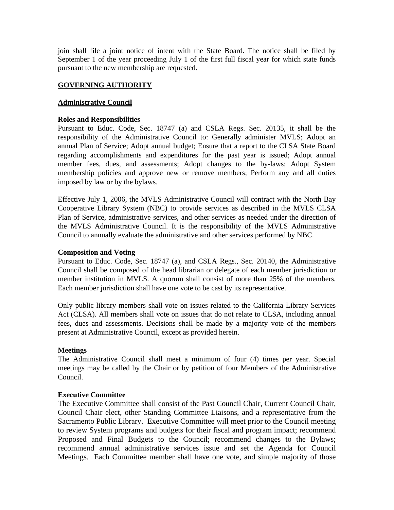join shall file a joint notice of intent with the State Board. The notice shall be filed by September 1 of the year proceeding July 1 of the first full fiscal year for which state funds pursuant to the new membership are requested.

# **GOVERNING AUTHORITY**

## **Administrative Council**

### **Roles and Responsibilities**

Pursuant to Educ. Code, Sec. 18747 (a) and CSLA Regs. Sec. 20135, it shall be the responsibility of the Administrative Council to: Generally administer MVLS; Adopt an annual Plan of Service; Adopt annual budget; Ensure that a report to the CLSA State Board regarding accomplishments and expenditures for the past year is issued; Adopt annual member fees, dues, and assessments; Adopt changes to the by-laws; Adopt System membership policies and approve new or remove members; Perform any and all duties imposed by law or by the bylaws.

Effective July 1, 2006, the MVLS Administrative Council will contract with the North Bay Cooperative Library System (NBC) to provide services as described in the MVLS CLSA Plan of Service, administrative services, and other services as needed under the direction of the MVLS Administrative Council. It is the responsibility of the MVLS Administrative Council to annually evaluate the administrative and other services performed by NBC.

### **Composition and Voting**

Pursuant to Educ. Code, Sec. 18747 (a), and CSLA Regs., Sec. 20140, the Administrative Council shall be composed of the head librarian or delegate of each member jurisdiction or member institution in MVLS. A quorum shall consist of more than 25% of the members. Each member jurisdiction shall have one vote to be cast by its representative.

Only public library members shall vote on issues related to the California Library Services Act (CLSA). All members shall vote on issues that do not relate to CLSA, including annual fees, dues and assessments. Decisions shall be made by a majority vote of the members present at Administrative Council, except as provided herein.

## **Meetings**

The Administrative Council shall meet a minimum of four (4) times per year. Special meetings may be called by the Chair or by petition of four Members of the Administrative Council.

## **Executive Committee**

The Executive Committee shall consist of the Past Council Chair, Current Council Chair, Council Chair elect, other Standing Committee Liaisons, and a representative from the Sacramento Public Library. Executive Committee will meet prior to the Council meeting to review System programs and budgets for their fiscal and program impact; recommend Proposed and Final Budgets to the Council; recommend changes to the Bylaws; recommend annual administrative services issue and set the Agenda for Council Meetings. Each Committee member shall have one vote, and simple majority of those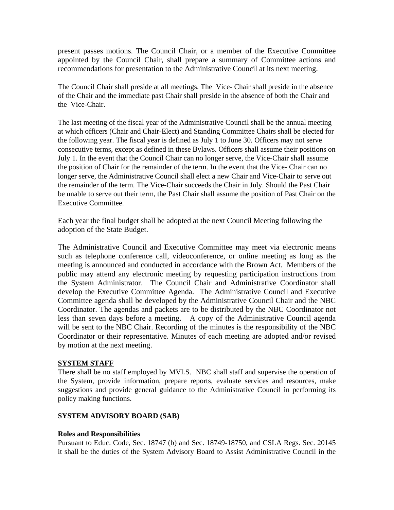present passes motions. The Council Chair, or a member of the Executive Committee appointed by the Council Chair, shall prepare a summary of Committee actions and recommendations for presentation to the Administrative Council at its next meeting.

The Council Chair shall preside at all meetings. The Vice- Chair shall preside in the absence of the Chair and the immediate past Chair shall preside in the absence of both the Chair and the Vice-Chair.

The last meeting of the fiscal year of the Administrative Council shall be the annual meeting at which officers (Chair and Chair-Elect) and Standing Committee Chairs shall be elected for the following year. The fiscal year is defined as July 1 to June 30. Officers may not serve consecutive terms, except as defined in these Bylaws. Officers shall assume their positions on July 1. In the event that the Council Chair can no longer serve, the Vice-Chair shall assume the position of Chair for the remainder of the term. In the event that the Vice- Chair can no longer serve, the Administrative Council shall elect a new Chair and Vice-Chair to serve out the remainder of the term. The Vice-Chair succeeds the Chair in July. Should the Past Chair be unable to serve out their term, the Past Chair shall assume the position of Past Chair on the Executive Committee.

Each year the final budget shall be adopted at the next Council Meeting following the adoption of the State Budget.

The Administrative Council and Executive Committee may meet via electronic means such as telephone conference call, videoconference, or online meeting as long as the meeting is announced and conducted in accordance with the Brown Act. Members of the public may attend any electronic meeting by requesting participation instructions from the System Administrator. The Council Chair and Administrative Coordinator shall develop the Executive Committee Agenda. The Administrative Council and Executive Committee agenda shall be developed by the Administrative Council Chair and the NBC Coordinator. The agendas and packets are to be distributed by the NBC Coordinator not less than seven days before a meeting. A copy of the Administrative Council agenda will be sent to the NBC Chair. Recording of the minutes is the responsibility of the NBC Coordinator or their representative. Minutes of each meeting are adopted and/or revised by motion at the next meeting.

## **SYSTEM STAFF**

There shall be no staff employed by MVLS. NBC shall staff and supervise the operation of the System, provide information, prepare reports, evaluate services and resources, make suggestions and provide general guidance to the Administrative Council in performing its policy making functions.

## **SYSTEM ADVISORY BOARD (SAB)**

## **Roles and Responsibilities**

Pursuant to Educ. Code, Sec. 18747 (b) and Sec. 18749-18750, and CSLA Regs. Sec. 20145 it shall be the duties of the System Advisory Board to Assist Administrative Council in the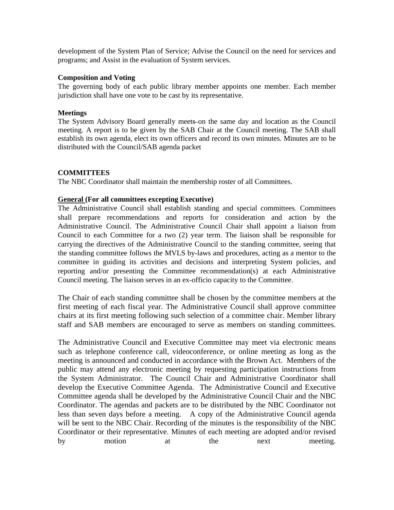development of the System Plan of Service; Advise the Council on the need for services and programs; and Assist in the evaluation of System services.

#### **Composition and Voting**

The governing body of each public library member appoints one member. Each member jurisdiction shall have one vote to be cast by its representative.

#### **Meetings**

The System Advisory Board generally meets on the same day and location as the Council meeting. A report is to be given by the SAB Chair at the Council meeting. The SAB shall establish its own agenda, elect its own officers and record its own minutes. Minutes are to be distributed with the Council/SAB agenda packet

#### **COMMITTEES**

The NBC Coordinator shall maintain the membership roster of all Committees.

#### **General (For all committees excepting Executive)**

The Administrative Council shall establish standing and special committees. Committees shall prepare recommendations and reports for consideration and action by the Administrative Council. The Administrative Council Chair shall appoint a liaison from Council to each Committee for a two (2) year term. The liaison shall be responsible for carrying the directives of the Administrative Council to the standing committee, seeing that the standing committee follows the MVLS by-laws and procedures, acting as a mentor to the committee in guiding its activities and decisions and interpreting System policies, and reporting and/or presenting the Committee recommendation(s) at each Administrative Council meeting. The liaison serves in an ex-officio capacity to the Committee.

The Chair of each standing committee shall be chosen by the committee members at the first meeting of each fiscal year. The Administrative Council shall approve committee chairs at its first meeting following such selection of a committee chair. Member library staff and SAB members are encouraged to serve as members on standing committees.

The Administrative Council and Executive Committee may meet via electronic means such as telephone conference call, videoconference, or online meeting as long as the meeting is announced and conducted in accordance with the Brown Act. Members of the public may attend any electronic meeting by requesting participation instructions from the System Administrator. The Council Chair and Administrative Coordinator shall develop the Executive Committee Agenda. The Administrative Council and Executive Committee agenda shall be developed by the Administrative Council Chair and the NBC Coordinator. The agendas and packets are to be distributed by the NBC Coordinator not less than seven days before a meeting. A copy of the Administrative Council agenda will be sent to the NBC Chair. Recording of the minutes is the responsibility of the NBC Coordinator or their representative. Minutes of each meeting are adopted and/or revised by motion at the next meeting.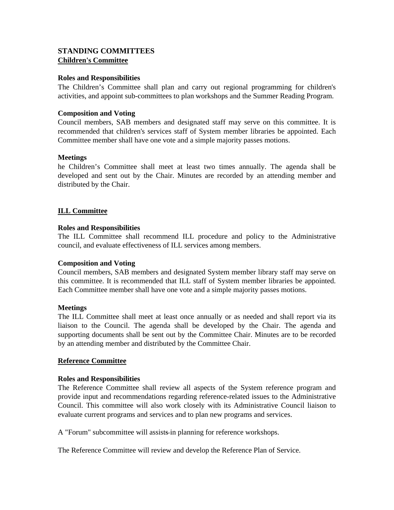# **STANDING COMMITTEES Children's Committee**

### **Roles and Responsibilities**

The Children's Committee shall plan and carry out regional programming for children's activities, and appoint sub-committees to plan workshops and the Summer Reading Program.

### **Composition and Voting**

Council members, SAB members and designated staff may serve on this committee. It is recommended that children's services staff of System member libraries be appointed. Each Committee member shall have one vote and a simple majority passes motions.

### **Meetings**

he Children's Committee shall meet at least two times annually. The agenda shall be developed and sent out by the Chair. Minutes are recorded by an attending member and distributed by the Chair.

### **ILL Committee**

### **Roles and Responsibilities**

The ILL Committee shall recommend ILL procedure and policy to the Administrative council, and evaluate effectiveness of ILL services among members.

#### **Composition and Voting**

Council members, SAB members and designated System member library staff may serve on this committee. It is recommended that ILL staff of System member libraries be appointed. Each Committee member shall have one vote and a simple majority passes motions.

#### **Meetings**

The ILL Committee shall meet at least once annually or as needed and shall report via its liaison to the Council. The agenda shall be developed by the Chair. The agenda and supporting documents shall be sent out by the Committee Chair. Minutes are to be recorded by an attending member and distributed by the Committee Chair.

## **Reference Committee**

#### **Roles and Responsibilities**

The Reference Committee shall review all aspects of the System reference program and provide input and recommendations regarding reference-related issues to the Administrative Council. This committee will also work closely with its Administrative Council liaison to evaluate current programs and services and to plan new programs and services.

A "Forum" subcommittee will assists in planning for reference workshops.

The Reference Committee will review and develop the Reference Plan of Service.